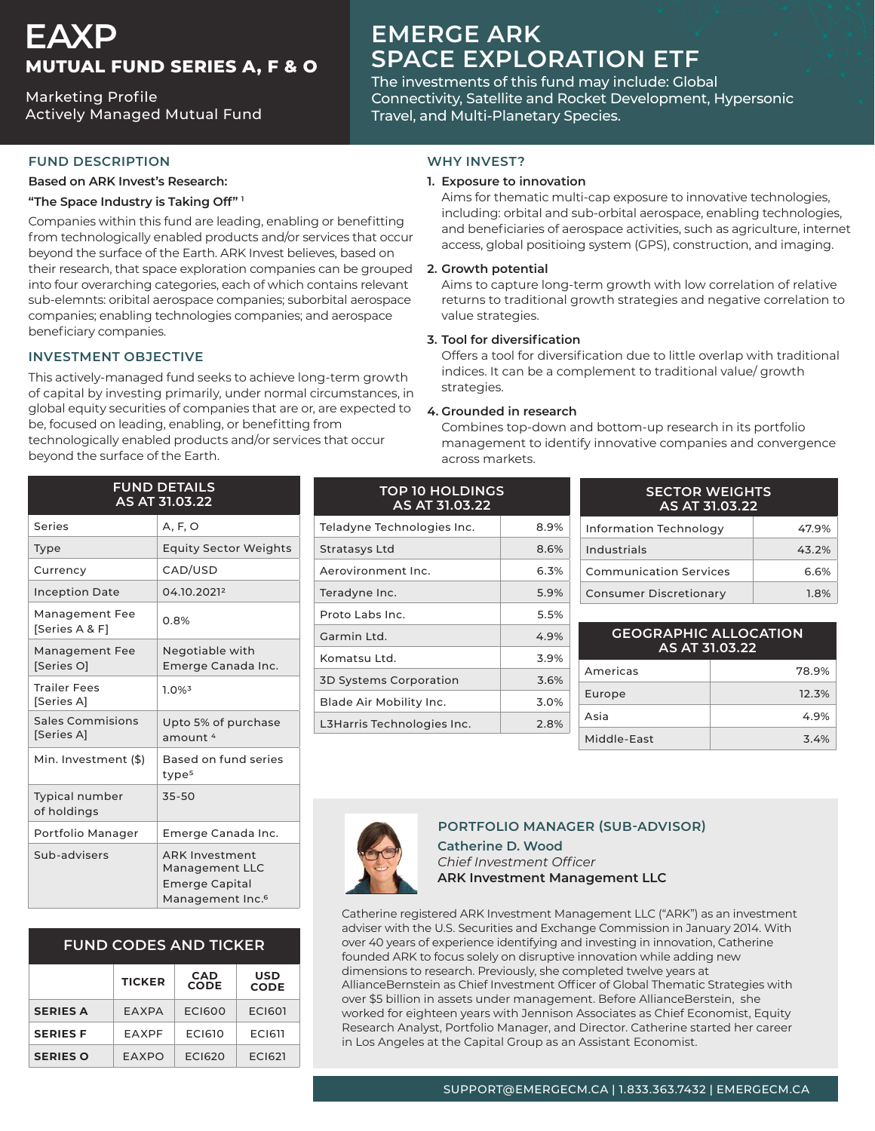# **EAXP MUTUAL FUND SERIES A, F & O**

**Marketing Profile** Actively Managed Mutual Fund

# **EMERGE ARK SPACE EXPLORATION ETF**

The investments of this fund may include: Global Connectivity, Satellite and Rocket Development, Hypersonic Travel, and Multi-Planetary Species.

## **FUND DESCRIPTION**

#### **Based on ARK Invest's Research:**

#### "The Space Industry is Taking Off"<sup>1</sup>

Companies within this fund are leading, enabling or benefitting from technologically enabled products and/or services that occur beyond the surface of the Earth. ARK Invest believes, based on their research, that space exploration companies can be grouped into four overarching categories, each of which contains relevant sub-elemnts: oribital aerospace companies; suborbital aerospace companies; enabling technologies companies; and aerospace beneficiary companies.

# **INVESTMENT OBJECTIVE**

This actively-managed fund seeks to achieve long-term growth of capital by investing primarily, under normal circumstances, in global equity securities of companies that are or, are expected to be, focused on leading, enabling, or benefitting from technologically enabled products and/or services that occur beyond the surface of the Earth.

### **WHY INVEST?**

#### **1. Exposure to innovation**

Aims for thematic multi-cap exposure to innovative technologies, including: orbital and sub-orbital aerospace, enabling technologies, and beneficiaries of aerospace activities, such as agriculture, internet access, global positioing system (GPS), construction, and imaging.

#### **potential Growth 2.**

Aims to capture long-term growth with low correlation of relative returns to traditional growth strategies and negative correlation to value strategies.

#### **3. Tool for diversification**

Offers a tool for diversification due to little overlap with traditional indices. It can be a complement to traditional value/ growth strategies.

#### **4.** Grounded in research

Combines top-down and bottom-up research in its portfolio management to identify innovative companies and convergence across markets.

| <b>FUND DETAILS</b><br>AS AT 31.03.22 |                                                                                                  |  |
|---------------------------------------|--------------------------------------------------------------------------------------------------|--|
| Series                                | A, F, O                                                                                          |  |
| Type                                  | <b>Equity Sector Weights</b>                                                                     |  |
| Currency                              | CAD/USD                                                                                          |  |
| <b>Inception Date</b>                 | 04.10.20212                                                                                      |  |
| Management Fee<br>[Series A & F]      | 0.8%                                                                                             |  |
| Management Fee<br>[Series O]          | Negotiable with<br>Emerge Canada Inc.                                                            |  |
| <b>Trailer Fees</b><br>[Series A]     | $1.0\%$ <sup>3</sup>                                                                             |  |
| <b>Sales Commisions</b><br>[Series A] | Upto 5% of purchase<br>amount <sup>4</sup>                                                       |  |
| Min. Investment (\$)                  | Based on fund series<br>type <sup>5</sup>                                                        |  |
| <b>Typical number</b><br>of holdings  | 35-50                                                                                            |  |
| Portfolio Manager                     | Emerge Canada Inc.                                                                               |  |
| Sub-advisers                          | <b>ARK Investment</b><br>Management LLC<br><b>Emerge Capital</b><br>Management Inc. <sup>6</sup> |  |

# **FUND CODES AND TICKER**

|                 | <b>TICKER</b> | <b>CAD</b><br><b>CODE</b> | USD<br><b>CODE</b> |
|-----------------|---------------|---------------------------|--------------------|
| <b>SERIES A</b> | FAXPA         | <b>ECI600</b>             | <b>ECI601</b>      |
| <b>SERIES F</b> | FAXPF         | <b>EC1610</b>             | <b>ECI611</b>      |
| <b>SERIES O</b> | FAXPO         | <b>FCI620</b>             | <b>ECI621</b>      |

| <b>TOP 10 HOLDINGS</b><br>AS AT 31.03.22 |      |  |
|------------------------------------------|------|--|
| Teladyne Technologies Inc.               | 8.9% |  |
| Stratasys Ltd                            | 8.6% |  |
| Aerovironment Inc.                       | 6.3% |  |
| Teradyne Inc.                            | 5.9% |  |
| Proto Labs Inc.                          | 5.5% |  |
| Garmin Ltd.                              | 4.9% |  |
| Komatsu Ltd.                             | 3.9% |  |
| <b>3D Systems Corporation</b>            | 3.6% |  |
| Blade Air Mobility Inc.                  | 3.0% |  |
| L3Harris Technologies Inc.               | 2.8% |  |

| <b>SECTOR WEIGHTS</b><br>AS AT 31.03.22 |       |  |
|-----------------------------------------|-------|--|
| Information Technology                  | 47.9% |  |
| Industrials                             | 43.2% |  |
| <b>Communication Services</b>           | 6.6%  |  |
| <b>Consumer Discretionary</b>           | 1.8%  |  |

| <b>GEOGRAPHIC ALLOCATION</b><br>AS AT 31.03.22 |       |  |
|------------------------------------------------|-------|--|
| Americas                                       | 78.9% |  |
| Europe                                         | 12.3% |  |
| Asia                                           | 4.9%  |  |
| Middle-Fast                                    | 3.4%  |  |



# **PORTFOLIO MANAGER (SUB-ADVISOR)**

**Catherine D. Wood.** *Officer Investment Chief* **ARK Investment Management LLC** 

Catherine registered ARK Investment Management LLC ("ARK") as an investment adviser with the U.S. Securities and Exchange Commission in January 2014. With over 40 years of experience identifying and investing in innovation, Catherine founded ARK to focus solely on disruptive innovation while adding new dimensions to research. Previously, she completed twelve years at AllianceBernstein as Chief Investment Officer of Global Thematic Strategies with over \$5 billion in assets under management. Before AllianceBerstein, she worked for eighteen years with Jennison Associates as Chief Economist, Equity Research Analyst, Portfolio Manager, and Director. Catherine started her career in Los Angeles at the Capital Group as an Assistant Economist.